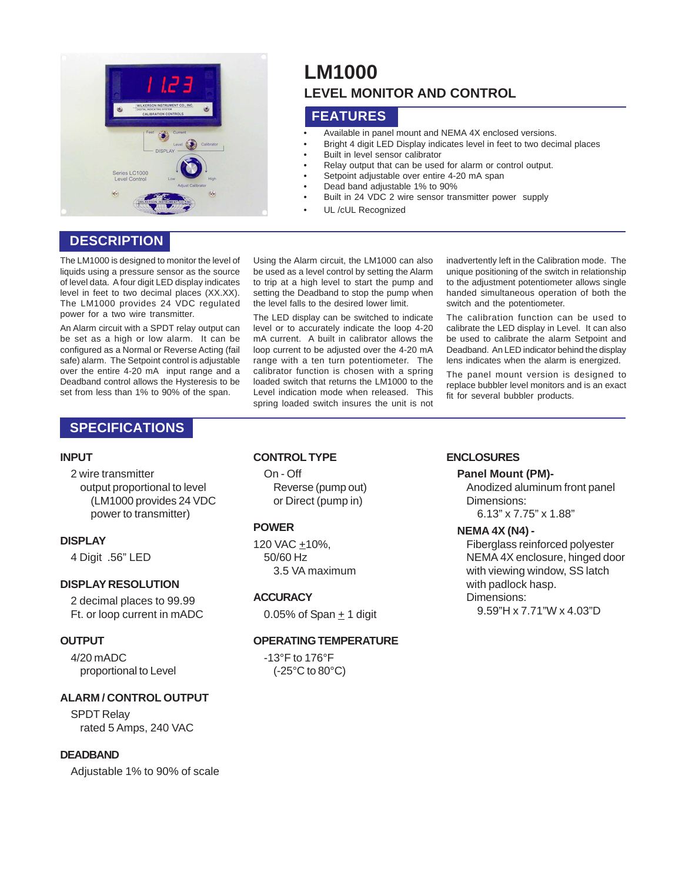

# **DESCRIPTION**

The LM1000 is designed to monitor the level of liquids using a pressure sensor as the source of level data. A four digit LED display indicates level in feet to two decimal places (XX.XX). The LM1000 provides 24 VDC regulated power for a two wire transmitter.

An Alarm circuit with a SPDT relay output can be set as a high or low alarm. It can be configured as a Normal or Reverse Acting (fail safe) alarm. The Setpoint control is adjustable over the entire 4-20 mA input range and a Deadband control allows the Hysteresis to be set from less than 1% to 90% of the span.

#### Using the Alarm circuit, the LM1000 can also be used as a level control by setting the Alarm to trip at a high level to start the pump and setting the Deadband to stop the pump when the level falls to the desired lower limit.

**FEATURES**

**LM1000**

Built in level sensor calibrator

UL /cUL Recognized

• Dead band adjustable 1% to 90%

• Available in panel mount and NEMA 4X enclosed versions.

• Relay output that can be used for alarm or control output.

• Built in 24 VDC 2 wire sensor transmitter power supply

Setpoint adjustable over entire 4-20 mA span

**LEVEL MONITOR AND CONTROL**

• Bright 4 digit LED Display indicates level in feet to two decimal places

The LED display can be switched to indicate level or to accurately indicate the loop 4-20 mA current. A built in calibrator allows the loop current to be adjusted over the 4-20 mA range with a ten turn potentiometer. The calibrator function is chosen with a spring loaded switch that returns the LM1000 to the Level indication mode when released. This spring loaded switch insures the unit is not inadvertently left in the Calibration mode. The unique positioning of the switch in relationship to the adjustment potentiometer allows single handed simultaneous operation of both the switch and the potentiometer.

The calibration function can be used to calibrate the LED display in Level. It can also be used to calibrate the alarm Setpoint and Deadband. An LED indicator behind the display lens indicates when the alarm is energized.

The panel mount version is designed to replace bubbler level monitors and is an exact fit for several bubbler products.

# **SPECIFICATIONS**

#### **INPUT**

#### 2 wire transmitter

output proportional to level (LM1000 provides 24 VDC power to transmitter)

# **DISPLAY**

4 Digit .56" LED

# **DISPLAY RESOLUTION**

2 decimal places to 99.99 Ft. or loop current in mADC

#### **OUTPUT**

4/20 mADC proportional to Level

# **ALARM / CONTROL OUTPUT**

SPDT Relay rated 5 Amps, 240 VAC

# **DEADBAND**

Adjustable 1% to 90% of scale

#### **CONTROL TYPE**

On - Off Reverse (pump out) or Direct (pump in)

# **POWER**

120 VAC +10%, 50/60 Hz 3.5 VA maximum

#### **ACCURACY**

0.05% of Span + 1 digit

#### **OPERATING TEMPERATURE**

-13°F to 176°F (-25°C to 80°C)

# **ENCLOSURES**

**Panel Mount (PM)-**

Anodized aluminum front panel Dimensions: 6.13" x 7.75" x 1.88"

# **NEMA 4X (N4) -**

Fiberglass reinforced polyester NEMA 4X enclosure, hinged door with viewing window, SS latch with padlock hasp. Dimensions: 9.59"H x 7.71"W x 4.03"D